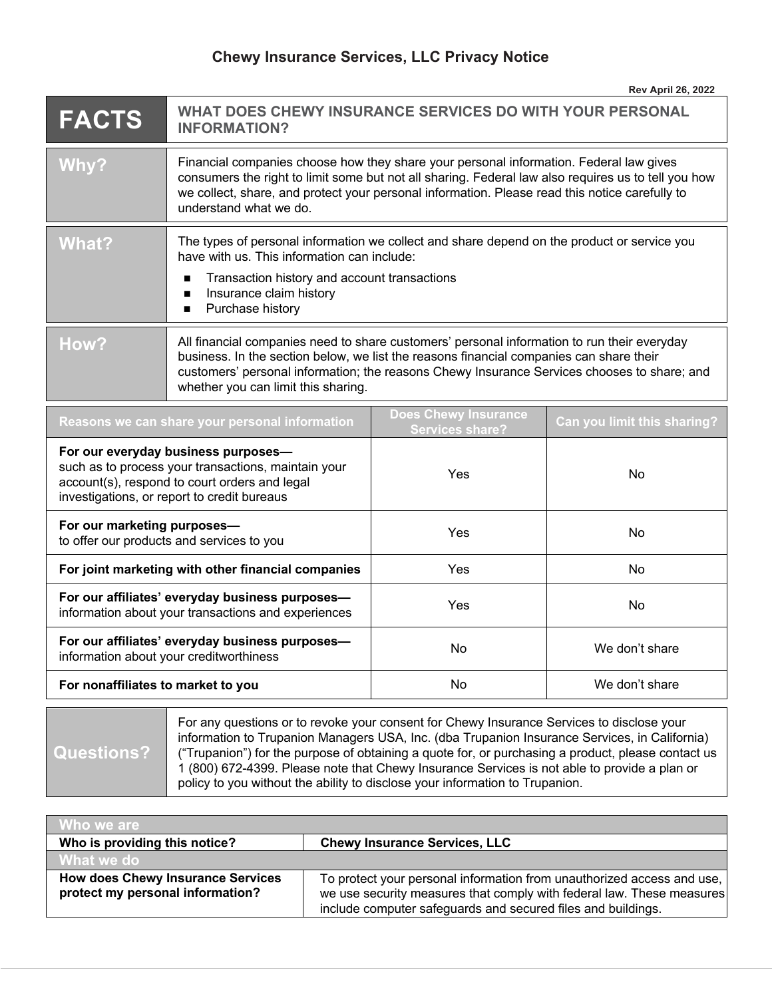## **Chewy Insurance Services, LLC Privacy Notice**

| <b>FACTS</b>                                                                                                                                                                               | WHAT DOES CHEWY INSURANCE SERVICES DO WITH YOUR PERSONAL<br><b>INFORMATION?</b>                                                                                                                                                                                                                                              |                                                       |                                    |
|--------------------------------------------------------------------------------------------------------------------------------------------------------------------------------------------|------------------------------------------------------------------------------------------------------------------------------------------------------------------------------------------------------------------------------------------------------------------------------------------------------------------------------|-------------------------------------------------------|------------------------------------|
| <b>Why?</b>                                                                                                                                                                                | Financial companies choose how they share your personal information. Federal law gives<br>consumers the right to limit some but not all sharing. Federal law also requires us to tell you how<br>we collect, share, and protect your personal information. Please read this notice carefully to<br>understand what we do.    |                                                       |                                    |
| <b>What?</b>                                                                                                                                                                               | The types of personal information we collect and share depend on the product or service you<br>have with us. This information can include:<br>Transaction history and account transactions<br>Insurance claim history<br>■<br>Purchase history<br>п                                                                          |                                                       |                                    |
| How?                                                                                                                                                                                       | All financial companies need to share customers' personal information to run their everyday<br>business. In the section below, we list the reasons financial companies can share their<br>customers' personal information; the reasons Chewy Insurance Services chooses to share; and<br>whether you can limit this sharing. |                                                       |                                    |
| Reasons we can share your personal information                                                                                                                                             |                                                                                                                                                                                                                                                                                                                              | <b>Does Chewy Insurance</b><br><b>Services share?</b> | <b>Can you limit this sharing?</b> |
| For our everyday business purposes-<br>such as to process your transactions, maintain your<br>account(s), respond to court orders and legal<br>investigations, or report to credit bureaus |                                                                                                                                                                                                                                                                                                                              | Yes                                                   | No                                 |
| For our marketing purposes-<br>to offer our products and services to you                                                                                                                   |                                                                                                                                                                                                                                                                                                                              | Yes                                                   | <b>No</b>                          |
| For joint marketing with other financial companies                                                                                                                                         |                                                                                                                                                                                                                                                                                                                              | Yes                                                   | No                                 |
| For our affiliates' everyday business purposes-<br>information about your transactions and experiences                                                                                     |                                                                                                                                                                                                                                                                                                                              | Yes                                                   | No                                 |
| For our affiliates' everyday business purposes-<br>information about your creditworthiness                                                                                                 |                                                                                                                                                                                                                                                                                                                              | <b>No</b>                                             | We don't share                     |
| For nonaffiliates to market to you                                                                                                                                                         |                                                                                                                                                                                                                                                                                                                              | No                                                    | We don't share                     |
|                                                                                                                                                                                            |                                                                                                                                                                                                                                                                                                                              |                                                       |                                    |

**Questions?**

For any questions or to revoke your consent for Chewy Insurance Services to disclose your information to Trupanion Managers USA, Inc. (dba Trupanion Insurance Services, in California) ("Trupanion") for the purpose of obtaining a quote for, or purchasing a product, please contact us 1 (800) 672-4399. Please note that Chewy Insurance Services is not able to provide a plan or policy to you without the ability to disclose your information to Trupanion.

| <b>⁄ Who we are</b>                                                          |                                                                                                                                                                                                                 |
|------------------------------------------------------------------------------|-----------------------------------------------------------------------------------------------------------------------------------------------------------------------------------------------------------------|
| Who is providing this notice?                                                | <b>Chewy Insurance Services, LLC</b>                                                                                                                                                                            |
| What we do                                                                   |                                                                                                                                                                                                                 |
| <b>How does Chewy Insurance Services</b><br>protect my personal information? | To protect your personal information from unauthorized access and use,<br>we use security measures that comply with federal law. These measures<br>include computer safeguards and secured files and buildings. |